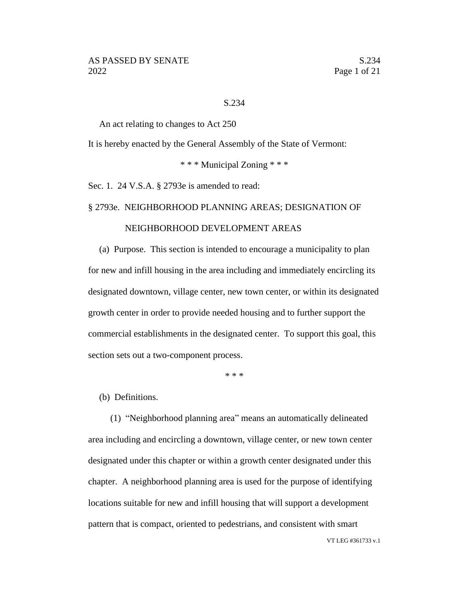#### S.234

An act relating to changes to Act 250

It is hereby enacted by the General Assembly of the State of Vermont:

\* \* \* Municipal Zoning \* \* \*

Sec. 1. 24 V.S.A. § 2793e is amended to read:

#### § 2793e. NEIGHBORHOOD PLANNING AREAS; DESIGNATION OF

#### NEIGHBORHOOD DEVELOPMENT AREAS

(a) Purpose. This section is intended to encourage a municipality to plan for new and infill housing in the area including and immediately encircling its designated downtown, village center, new town center, or within its designated growth center in order to provide needed housing and to further support the commercial establishments in the designated center. To support this goal, this section sets out a two-component process.

\* \* \*

(b) Definitions.

(1) "Neighborhood planning area" means an automatically delineated area including and encircling a downtown, village center, or new town center designated under this chapter or within a growth center designated under this chapter. A neighborhood planning area is used for the purpose of identifying locations suitable for new and infill housing that will support a development pattern that is compact, oriented to pedestrians, and consistent with smart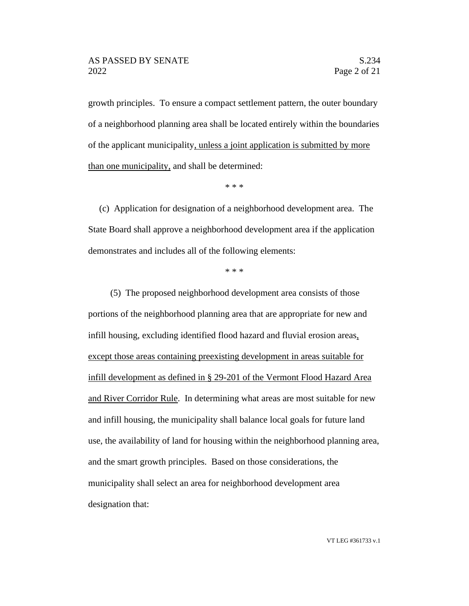growth principles. To ensure a compact settlement pattern, the outer boundary of a neighborhood planning area shall be located entirely within the boundaries of the applicant municipality, unless a joint application is submitted by more than one municipality, and shall be determined:

\* \* \*

(c) Application for designation of a neighborhood development area. The State Board shall approve a neighborhood development area if the application demonstrates and includes all of the following elements:

\* \* \*

(5) The proposed neighborhood development area consists of those portions of the neighborhood planning area that are appropriate for new and infill housing, excluding identified flood hazard and fluvial erosion areas, except those areas containing preexisting development in areas suitable for infill development as defined in § 29-201 of the Vermont Flood Hazard Area and River Corridor Rule. In determining what areas are most suitable for new and infill housing, the municipality shall balance local goals for future land use, the availability of land for housing within the neighborhood planning area, and the smart growth principles. Based on those considerations, the municipality shall select an area for neighborhood development area designation that: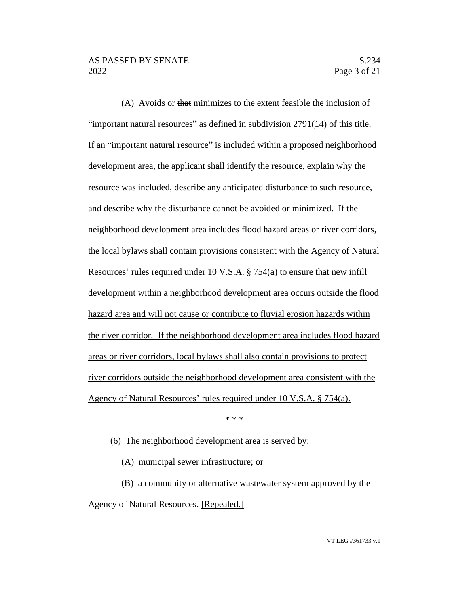(A) Avoids or that minimizes to the extent feasible the inclusion of "important natural resources" as defined in subdivision 2791(14) of this title. If an "important natural resource" is included within a proposed neighborhood development area, the applicant shall identify the resource, explain why the resource was included, describe any anticipated disturbance to such resource, and describe why the disturbance cannot be avoided or minimized. If the neighborhood development area includes flood hazard areas or river corridors, the local bylaws shall contain provisions consistent with the Agency of Natural Resources' rules required under 10 V.S.A. § 754(a) to ensure that new infill development within a neighborhood development area occurs outside the flood hazard area and will not cause or contribute to fluvial erosion hazards within the river corridor. If the neighborhood development area includes flood hazard areas or river corridors, local bylaws shall also contain provisions to protect river corridors outside the neighborhood development area consistent with the Agency of Natural Resources' rules required under 10 V.S.A. § 754(a).

\* \* \*

### (6) The neighborhood development area is served by:

(A) municipal sewer infrastructure; or

(B) a community or alternative wastewater system approved by the Agency of Natural Resources. [Repealed.]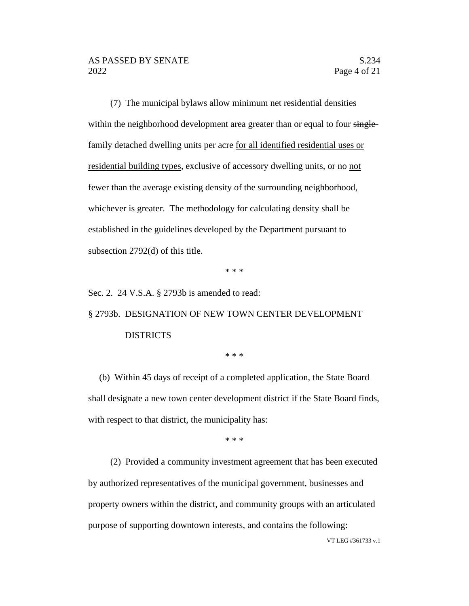(7) The municipal bylaws allow minimum net residential densities within the neighborhood development area greater than or equal to four singlefamily detached dwelling units per acre for all identified residential uses or residential building types, exclusive of accessory dwelling units, or no not fewer than the average existing density of the surrounding neighborhood, whichever is greater. The methodology for calculating density shall be established in the guidelines developed by the Department pursuant to subsection 2792(d) of this title.

\* \* \*

Sec. 2. 24 V.S.A. § 2793b is amended to read:

§ 2793b. DESIGNATION OF NEW TOWN CENTER DEVELOPMENT DISTRICTS

\* \* \*

(b) Within 45 days of receipt of a completed application, the State Board shall designate a new town center development district if the State Board finds, with respect to that district, the municipality has:

\* \* \*

(2) Provided a community investment agreement that has been executed by authorized representatives of the municipal government, businesses and property owners within the district, and community groups with an articulated purpose of supporting downtown interests, and contains the following: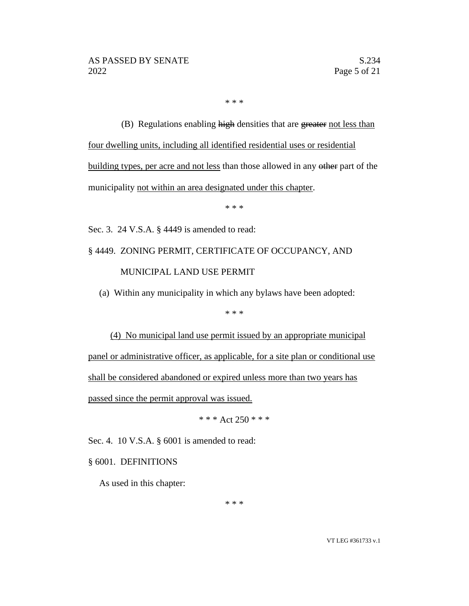\* \* \*

(B) Regulations enabling high densities that are greater not less than four dwelling units, including all identified residential uses or residential building types, per acre and not less than those allowed in any other part of the municipality not within an area designated under this chapter.

\* \* \*

Sec. 3. 24 V.S.A. § 4449 is amended to read:

§ 4449. ZONING PERMIT, CERTIFICATE OF OCCUPANCY, AND MUNICIPAL LAND USE PERMIT

(a) Within any municipality in which any bylaws have been adopted:

\* \* \*

(4) No municipal land use permit issued by an appropriate municipal panel or administrative officer, as applicable, for a site plan or conditional use shall be considered abandoned or expired unless more than two years has passed since the permit approval was issued.

\* \* \* Act 250 \* \* \*

Sec. 4. 10 V.S.A. § 6001 is amended to read:

§ 6001. DEFINITIONS

As used in this chapter:

\* \* \*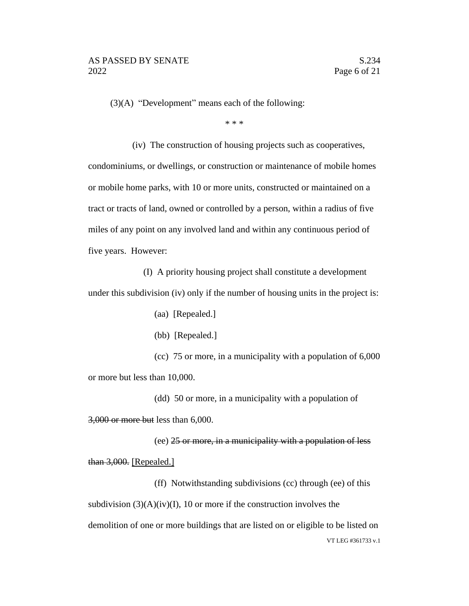(3)(A) "Development" means each of the following:

\* \* \*

(iv) The construction of housing projects such as cooperatives, condominiums, or dwellings, or construction or maintenance of mobile homes or mobile home parks, with 10 or more units, constructed or maintained on a tract or tracts of land, owned or controlled by a person, within a radius of five miles of any point on any involved land and within any continuous period of five years. However:

(I) A priority housing project shall constitute a development under this subdivision (iv) only if the number of housing units in the project is:

(aa) [Repealed.]

(bb) [Repealed.]

(cc) 75 or more, in a municipality with a population of 6,000 or more but less than 10,000.

(dd) 50 or more, in a municipality with a population of 3,000 or more but less than 6,000.

(ee) 25 or more, in a municipality with a population of less than 3,000. [Repealed.]

VT LEG #361733 v.1 (ff) Notwithstanding subdivisions (cc) through (ee) of this subdivision  $(3)(A)(iv)(I)$ , 10 or more if the construction involves the demolition of one or more buildings that are listed on or eligible to be listed on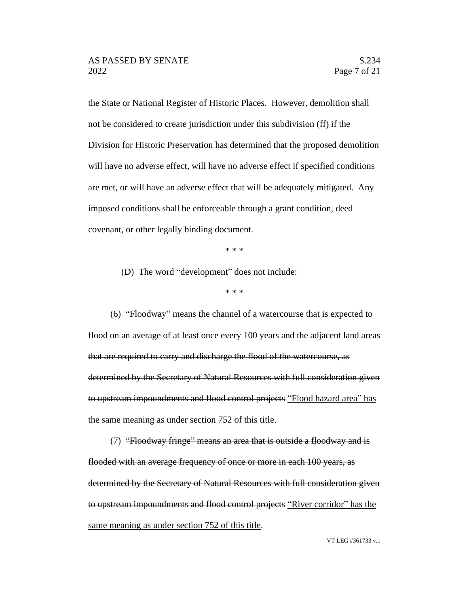the State or National Register of Historic Places. However, demolition shall not be considered to create jurisdiction under this subdivision (ff) if the Division for Historic Preservation has determined that the proposed demolition will have no adverse effect, will have no adverse effect if specified conditions are met, or will have an adverse effect that will be adequately mitigated. Any imposed conditions shall be enforceable through a grant condition, deed covenant, or other legally binding document.

\* \* \*

(D) The word "development" does not include:

\* \* \*

(6) "Floodway" means the channel of a watercourse that is expected to flood on an average of at least once every 100 years and the adjacent land areas that are required to carry and discharge the flood of the watercourse, as determined by the Secretary of Natural Resources with full consideration given to upstream impoundments and flood control projects "Flood hazard area" has the same meaning as under section 752 of this title.

(7) "Floodway fringe" means an area that is outside a floodway and is flooded with an average frequency of once or more in each 100 years, as determined by the Secretary of Natural Resources with full consideration given to upstream impoundments and flood control projects "River corridor" has the same meaning as under section 752 of this title.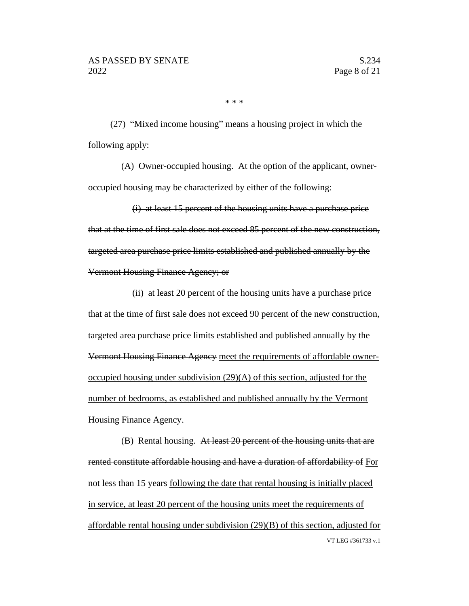\* \* \*

(27) "Mixed income housing" means a housing project in which the following apply:

(A) Owner-occupied housing. At the option of the applicant, owneroccupied housing may be characterized by either of the following:

(i) at least 15 percent of the housing units have a purchase price that at the time of first sale does not exceed 85 percent of the new construction, targeted area purchase price limits established and published annually by the Vermont Housing Finance Agency; or

 $(ii)$  at least 20 percent of the housing units have a purchase price that at the time of first sale does not exceed 90 percent of the new construction, targeted area purchase price limits established and published annually by the Vermont Housing Finance Agency meet the requirements of affordable owneroccupied housing under subdivision  $(29)(A)$  of this section, adjusted for the number of bedrooms, as established and published annually by the Vermont Housing Finance Agency.

VT LEG #361733 v.1 (B) Rental housing. At least 20 percent of the housing units that are rented constitute affordable housing and have a duration of affordability of For not less than 15 years following the date that rental housing is initially placed in service, at least 20 percent of the housing units meet the requirements of affordable rental housing under subdivision (29)(B) of this section, adjusted for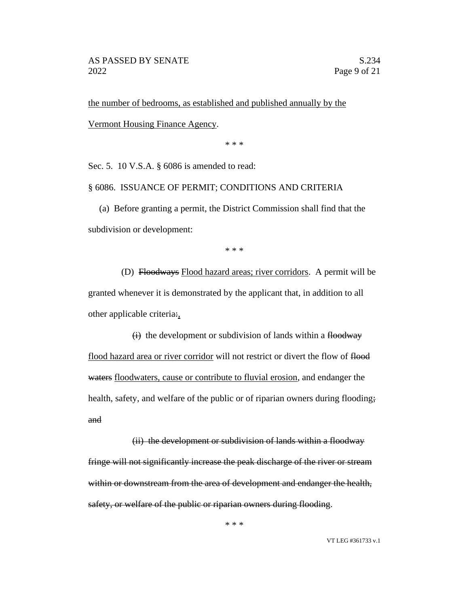the number of bedrooms, as established and published annually by the Vermont Housing Finance Agency.

\* \* \*

Sec. 5. 10 V.S.A. § 6086 is amended to read:

§ 6086. ISSUANCE OF PERMIT; CONDITIONS AND CRITERIA

(a) Before granting a permit, the District Commission shall find that the subdivision or development:

\* \* \*

(D) Floodways Flood hazard areas; river corridors. A permit will be granted whenever it is demonstrated by the applicant that, in addition to all other applicable criteria:,

 $(i)$  the development or subdivision of lands within a floodway flood hazard area or river corridor will not restrict or divert the flow of flood waters floodwaters, cause or contribute to fluvial erosion, and endanger the health, safety, and welfare of the public or of riparian owners during flooding; and

(ii) the development or subdivision of lands within a floodway fringe will not significantly increase the peak discharge of the river or stream within or downstream from the area of development and endanger the health, safety, or welfare of the public or riparian owners during flooding.

\* \* \*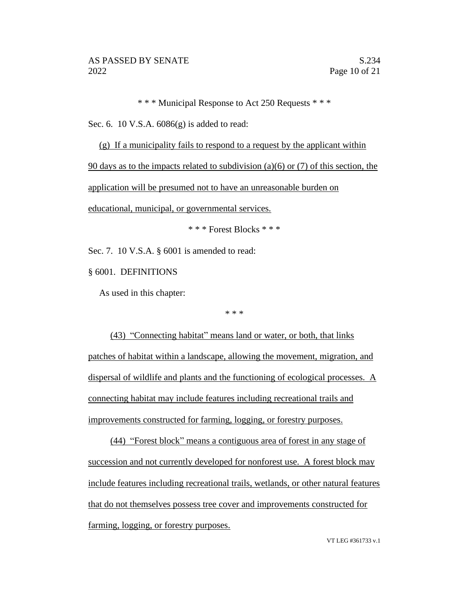\* \* \* Municipal Response to Act 250 Requests \* \* \*

Sec. 6. 10 V.S.A.  $6086(g)$  is added to read:

(g) If a municipality fails to respond to a request by the applicant within

90 days as to the impacts related to subdivision (a)(6) or (7) of this section, the

application will be presumed not to have an unreasonable burden on

educational, municipal, or governmental services.

\* \* \* Forest Blocks \* \* \*

Sec. 7. 10 V.S.A. § 6001 is amended to read:

§ 6001. DEFINITIONS

As used in this chapter:

\* \* \*

(43) "Connecting habitat" means land or water, or both, that links patches of habitat within a landscape, allowing the movement, migration, and dispersal of wildlife and plants and the functioning of ecological processes. A connecting habitat may include features including recreational trails and improvements constructed for farming, logging, or forestry purposes.

(44) "Forest block" means a contiguous area of forest in any stage of succession and not currently developed for nonforest use. A forest block may include features including recreational trails, wetlands, or other natural features that do not themselves possess tree cover and improvements constructed for farming, logging, or forestry purposes.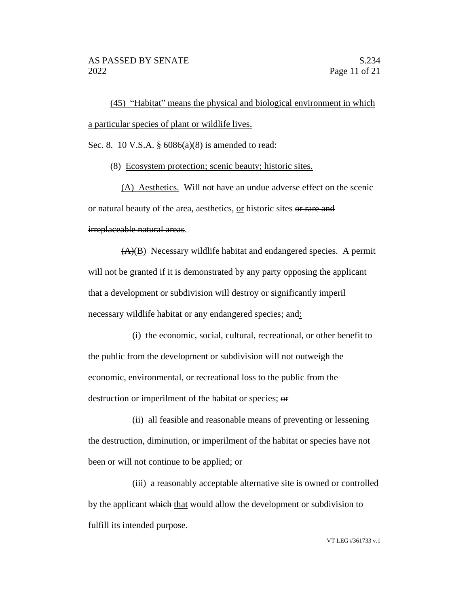(45) "Habitat" means the physical and biological environment in which a particular species of plant or wildlife lives.

Sec. 8. 10 V.S.A. § 6086(a)(8) is amended to read:

(8) Ecosystem protection; scenic beauty; historic sites.

(A) Aesthetics. Will not have an undue adverse effect on the scenic or natural beauty of the area, aesthetics, or historic sites or rare and irreplaceable natural areas.

 $(A)(B)$  Necessary wildlife habitat and endangered species. A permit will not be granted if it is demonstrated by any party opposing the applicant that a development or subdivision will destroy or significantly imperil necessary wildlife habitat or any endangered species; and:

(i) the economic, social, cultural, recreational, or other benefit to the public from the development or subdivision will not outweigh the economic, environmental, or recreational loss to the public from the destruction or imperilment of the habitat or species;  $\Theta$ 

(ii) all feasible and reasonable means of preventing or lessening the destruction, diminution, or imperilment of the habitat or species have not been or will not continue to be applied; or

(iii) a reasonably acceptable alternative site is owned or controlled by the applicant which that would allow the development or subdivision to fulfill its intended purpose.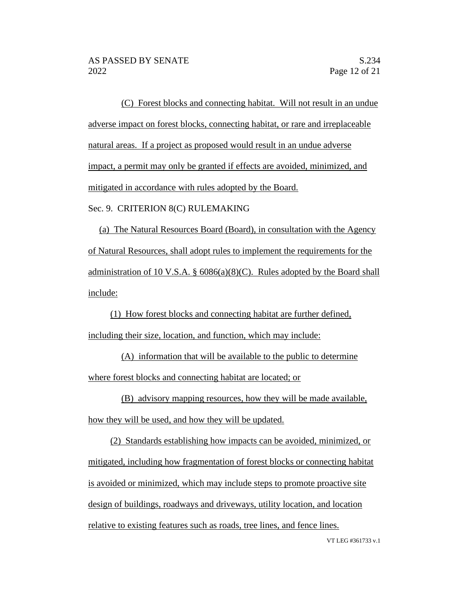(C) Forest blocks and connecting habitat. Will not result in an undue adverse impact on forest blocks, connecting habitat, or rare and irreplaceable natural areas. If a project as proposed would result in an undue adverse impact, a permit may only be granted if effects are avoided, minimized, and mitigated in accordance with rules adopted by the Board.

# Sec. 9. CRITERION 8(C) RULEMAKING

(a) The Natural Resources Board (Board), in consultation with the Agency of Natural Resources, shall adopt rules to implement the requirements for the administration of 10 V.S.A. §  $6086(a)(8)(C)$ . Rules adopted by the Board shall include:

(1) How forest blocks and connecting habitat are further defined, including their size, location, and function, which may include:

(A) information that will be available to the public to determine where forest blocks and connecting habitat are located; or

(B) advisory mapping resources, how they will be made available,

how they will be used, and how they will be updated.

(2) Standards establishing how impacts can be avoided, minimized, or mitigated, including how fragmentation of forest blocks or connecting habitat is avoided or minimized, which may include steps to promote proactive site design of buildings, roadways and driveways, utility location, and location relative to existing features such as roads, tree lines, and fence lines.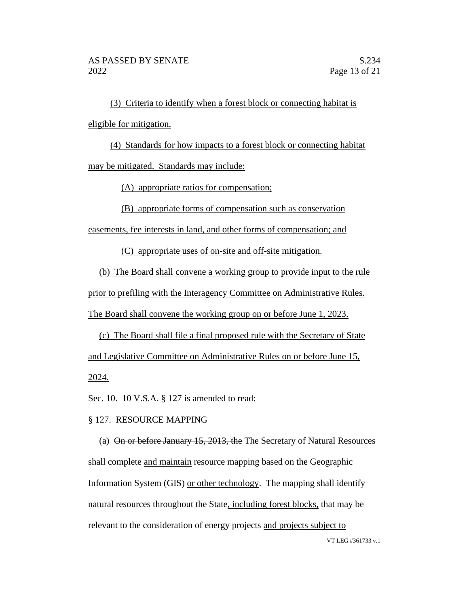(3) Criteria to identify when a forest block or connecting habitat is eligible for mitigation.

(4) Standards for how impacts to a forest block or connecting habitat

may be mitigated. Standards may include:

(A) appropriate ratios for compensation;

(B) appropriate forms of compensation such as conservation

easements, fee interests in land, and other forms of compensation; and

(C) appropriate uses of on-site and off-site mitigation.

(b) The Board shall convene a working group to provide input to the rule

prior to prefiling with the Interagency Committee on Administrative Rules.

The Board shall convene the working group on or before June 1, 2023.

(c) The Board shall file a final proposed rule with the Secretary of State and Legislative Committee on Administrative Rules on or before June 15, 2024.

Sec. 10. 10 V.S.A. § 127 is amended to read:

# § 127. RESOURCE MAPPING

(a) On or before January 15, 2013, the The Secretary of Natural Resources shall complete and maintain resource mapping based on the Geographic Information System (GIS) or other technology. The mapping shall identify natural resources throughout the State, including forest blocks, that may be relevant to the consideration of energy projects and projects subject to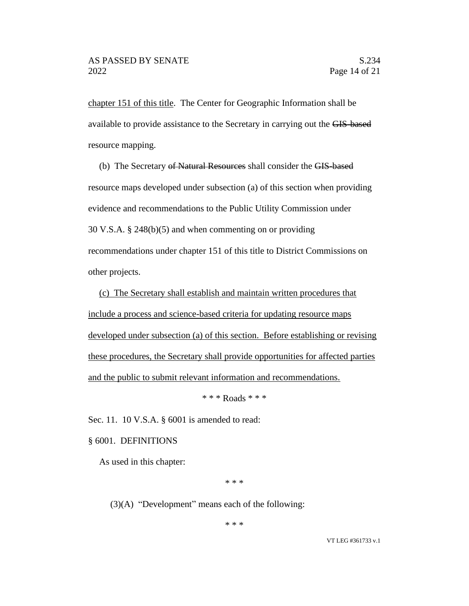chapter 151 of this title. The Center for Geographic Information shall be available to provide assistance to the Secretary in carrying out the GIS-based resource mapping.

(b) The Secretary of Natural Resources shall consider the GIS-based resource maps developed under subsection (a) of this section when providing evidence and recommendations to the Public Utility Commission under 30 V.S.A. § 248(b)(5) and when commenting on or providing recommendations under chapter 151 of this title to District Commissions on other projects.

(c) The Secretary shall establish and maintain written procedures that include a process and science-based criteria for updating resource maps developed under subsection (a) of this section. Before establishing or revising these procedures, the Secretary shall provide opportunities for affected parties and the public to submit relevant information and recommendations.

\* \* \* Roads \* \* \*

Sec. 11. 10 V.S.A. § 6001 is amended to read:

§ 6001. DEFINITIONS

As used in this chapter:

\* \* \*

(3)(A) "Development" means each of the following:

\* \* \*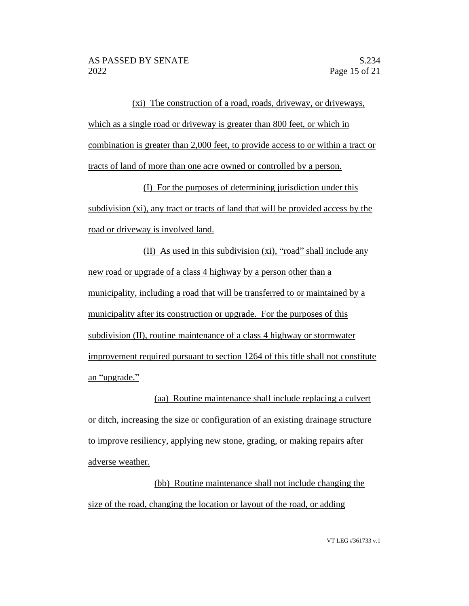(xi) The construction of a road, roads, driveway, or driveways, which as a single road or driveway is greater than 800 feet, or which in combination is greater than 2,000 feet, to provide access to or within a tract or tracts of land of more than one acre owned or controlled by a person.

(I) For the purposes of determining jurisdiction under this subdivision (xi), any tract or tracts of land that will be provided access by the road or driveway is involved land.

(II) As used in this subdivision (xi), "road" shall include any new road or upgrade of a class 4 highway by a person other than a municipality, including a road that will be transferred to or maintained by a municipality after its construction or upgrade. For the purposes of this subdivision (II), routine maintenance of a class 4 highway or stormwater improvement required pursuant to section 1264 of this title shall not constitute an "upgrade."

(aa) Routine maintenance shall include replacing a culvert or ditch, increasing the size or configuration of an existing drainage structure to improve resiliency, applying new stone, grading, or making repairs after adverse weather.

(bb) Routine maintenance shall not include changing the size of the road, changing the location or layout of the road, or adding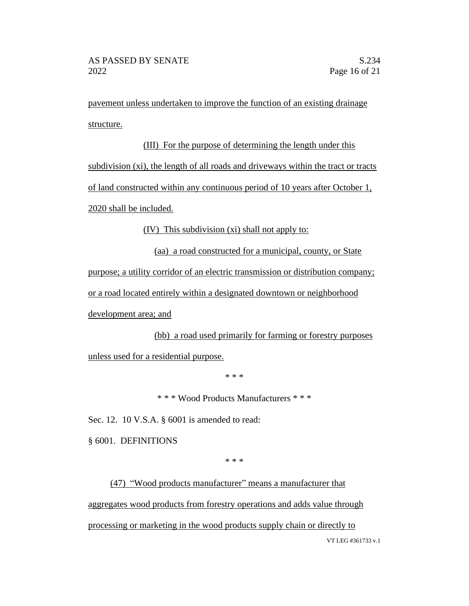pavement unless undertaken to improve the function of an existing drainage structure.

## (III) For the purpose of determining the length under this

subdivision (xi), the length of all roads and driveways within the tract or tracts

of land constructed within any continuous period of 10 years after October 1,

2020 shall be included.

(IV) This subdivision (xi) shall not apply to:

(aa) a road constructed for a municipal, county, or State

purpose; a utility corridor of an electric transmission or distribution company;

or a road located entirely within a designated downtown or neighborhood

development area; and

(bb) a road used primarily for farming or forestry purposes unless used for a residential purpose.

\* \* \*

\* \* \* Wood Products Manufacturers \* \* \*

Sec. 12. 10 V.S.A. § 6001 is amended to read:

§ 6001. DEFINITIONS

\* \* \*

VT LEG #361733 v.1 (47) "Wood products manufacturer" means a manufacturer that aggregates wood products from forestry operations and adds value through processing or marketing in the wood products supply chain or directly to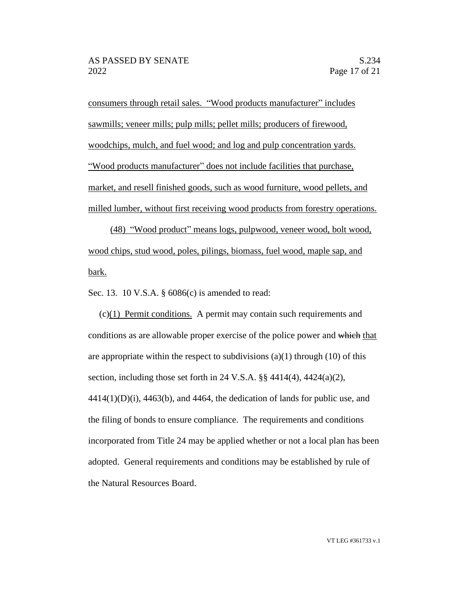consumers through retail sales. "Wood products manufacturer" includes sawmills; veneer mills; pulp mills; pellet mills; producers of firewood, woodchips, mulch, and fuel wood; and log and pulp concentration yards. "Wood products manufacturer" does not include facilities that purchase, market, and resell finished goods, such as wood furniture, wood pellets, and milled lumber, without first receiving wood products from forestry operations.

(48) "Wood product" means logs, pulpwood, veneer wood, bolt wood, wood chips, stud wood, poles, pilings, biomass, fuel wood, maple sap, and bark.

Sec. 13. 10 V.S.A. § 6086(c) is amended to read:

(c)(1) Permit conditions. A permit may contain such requirements and conditions as are allowable proper exercise of the police power and which that are appropriate within the respect to subdivisions  $(a)(1)$  through  $(10)$  of this section, including those set forth in 24 V.S.A. §§ 4414(4), 4424(a)(2),  $4414(1)(D)(i)$ ,  $4463(b)$ , and  $4464$ , the dedication of lands for public use, and the filing of bonds to ensure compliance. The requirements and conditions incorporated from Title 24 may be applied whether or not a local plan has been adopted. General requirements and conditions may be established by rule of the Natural Resources Board.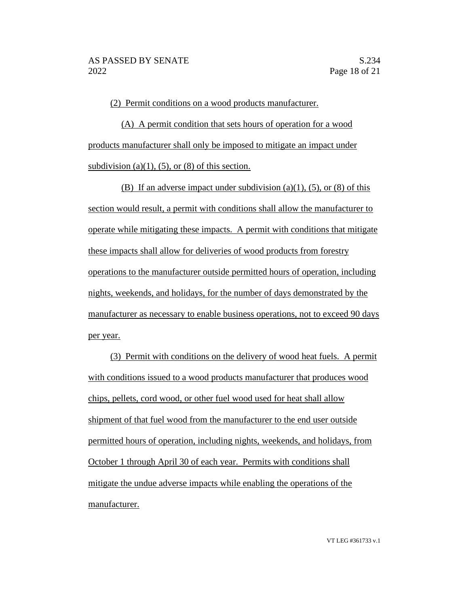(2) Permit conditions on a wood products manufacturer.

(A) A permit condition that sets hours of operation for a wood products manufacturer shall only be imposed to mitigate an impact under subdivision (a)(1), (5), or (8) of this section.

(B) If an adverse impact under subdivision (a)(1), (5), or (8) of this section would result, a permit with conditions shall allow the manufacturer to operate while mitigating these impacts. A permit with conditions that mitigate these impacts shall allow for deliveries of wood products from forestry operations to the manufacturer outside permitted hours of operation, including nights, weekends, and holidays, for the number of days demonstrated by the manufacturer as necessary to enable business operations, not to exceed 90 days per year.

(3) Permit with conditions on the delivery of wood heat fuels. A permit with conditions issued to a wood products manufacturer that produces wood chips, pellets, cord wood, or other fuel wood used for heat shall allow shipment of that fuel wood from the manufacturer to the end user outside permitted hours of operation, including nights, weekends, and holidays, from October 1 through April 30 of each year. Permits with conditions shall mitigate the undue adverse impacts while enabling the operations of the manufacturer.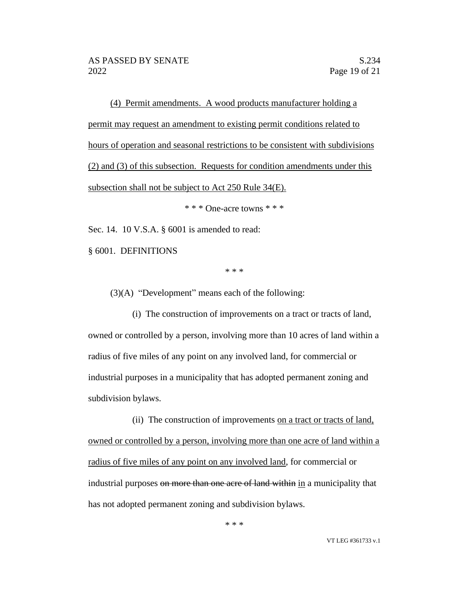(4) Permit amendments. A wood products manufacturer holding a permit may request an amendment to existing permit conditions related to hours of operation and seasonal restrictions to be consistent with subdivisions (2) and (3) of this subsection. Requests for condition amendments under this subsection shall not be subject to Act 250 Rule 34(E).

\* \* \* One-acre towns \* \* \*

Sec. 14. 10 V.S.A. § 6001 is amended to read:

§ 6001. DEFINITIONS

\* \* \*

(3)(A) "Development" means each of the following:

(i) The construction of improvements on a tract or tracts of land, owned or controlled by a person, involving more than 10 acres of land within a radius of five miles of any point on any involved land, for commercial or industrial purposes in a municipality that has adopted permanent zoning and subdivision bylaws.

(ii) The construction of improvements on a tract or tracts of land, owned or controlled by a person, involving more than one acre of land within a radius of five miles of any point on any involved land, for commercial or industrial purposes on more than one acre of land within in a municipality that has not adopted permanent zoning and subdivision bylaws.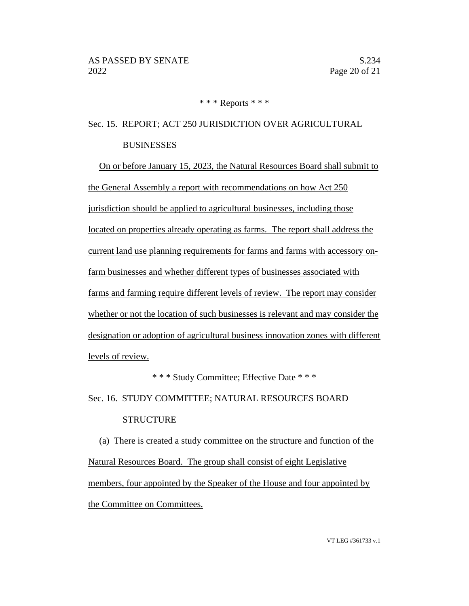# \* \* \* Reports \* \* \*

Sec. 15. REPORT; ACT 250 JURISDICTION OVER AGRICULTURAL

## BUSINESSES

On or before January 15, 2023, the Natural Resources Board shall submit to the General Assembly a report with recommendations on how Act 250 jurisdiction should be applied to agricultural businesses, including those located on properties already operating as farms. The report shall address the current land use planning requirements for farms and farms with accessory onfarm businesses and whether different types of businesses associated with farms and farming require different levels of review. The report may consider whether or not the location of such businesses is relevant and may consider the designation or adoption of agricultural business innovation zones with different levels of review.

\* \* \* Study Committee; Effective Date \* \* \*

Sec. 16. STUDY COMMITTEE; NATURAL RESOURCES BOARD

# **STRUCTURE**

(a) There is created a study committee on the structure and function of the Natural Resources Board. The group shall consist of eight Legislative members, four appointed by the Speaker of the House and four appointed by the Committee on Committees.